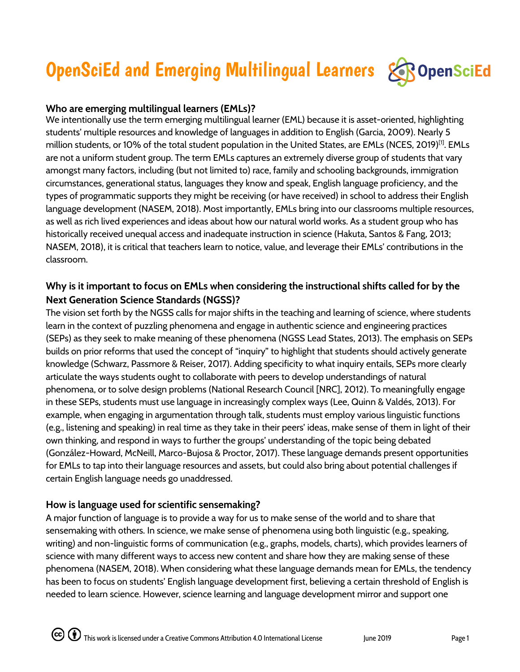# OpenSciEd and Emerging Multilingual Learners



## **Who are emerging multilingual learners (EMLs)?**

We intentionally use the term emerging multilingual learner (EML) because it is asset-oriented, highlighting students' multiple resources and knowledge of languages in addition to English (Garcia, 2009). Nearly 5 million students, or 10% of the total student population in the United States, are EMLs (NCES, 2019) [1] . EMLs are not a uniform student group. The term EMLs captures an extremely diverse group of students that vary amongst many factors, including (but not limited to) race, family and schooling backgrounds, immigration circumstances, generational status, languages they know and speak, English language proficiency, and the types of programmatic supports they might be receiving (or have received) in school to address their English language development (NASEM, 2018). Most importantly, EMLs bring into our classrooms multiple resources, as well as rich lived experiences and ideas about how our natural world works. As a student group who has historically received unequal access and inadequate instruction in science (Hakuta, Santos & Fang, 2013; NASEM, 2018), it is critical that teachers learn to notice, value, and leverage their EMLs' contributions in the classroom.

# **Why is it important to focus on EMLs when considering the instructional shifts called for by the Next Generation Science Standards (NGSS)?**

The vision set forth by the NGSS calls for major shifts in the teaching and learning of science, where students learn in the context of puzzling phenomena and engage in authentic science and engineering practices (SEPs) as they seek to make meaning of these phenomena (NGSS Lead States, 2013). The emphasis on SEPs builds on prior reforms that used the concept of "inquiry" to highlight that students should actively generate knowledge (Schwarz, Passmore & Reiser, 2017). Adding specificity to what inquiry entails, SEPs more clearly articulate the ways students ought to collaborate with peers to develop understandings of natural phenomena, or to solve design problems (National Research Council [NRC], 2012). To meaningfully engage in these SEPs, students must use language in increasingly complex ways (Lee, Quinn & Valdés, 2013). For example, when engaging in argumentation through talk, students must employ various linguistic functions (e.g., listening and speaking) in real time as they take in their peers' ideas, make sense of them in light of their own thinking, and respond in ways to further the groups' understanding of the topic being debated (González-Howard, McNeill, Marco-Bujosa & Proctor, 2017). These language demands present opportunities for EMLs to tap into their language resources and assets, but could also bring about potential challenges if certain English language needs go unaddressed.

### **How is language used for scientific sensemaking?**

A major function of language is to provide a way for us to make sense of the world and to share that sensemaking with others. In science, we make sense of phenomena using both linguistic (e.g., speaking, writing) and non-linguistic forms of communication (e.g., graphs, models, charts), which provides learners of science with many different ways to access new content and share how they are making sense of these phenomena (NASEM, 2018). When considering what these language demands mean for EMLs, the tendency has been to focus on students' English language development first, believing a certain threshold of English is needed to learn science. However, science learning and language development mirror and support one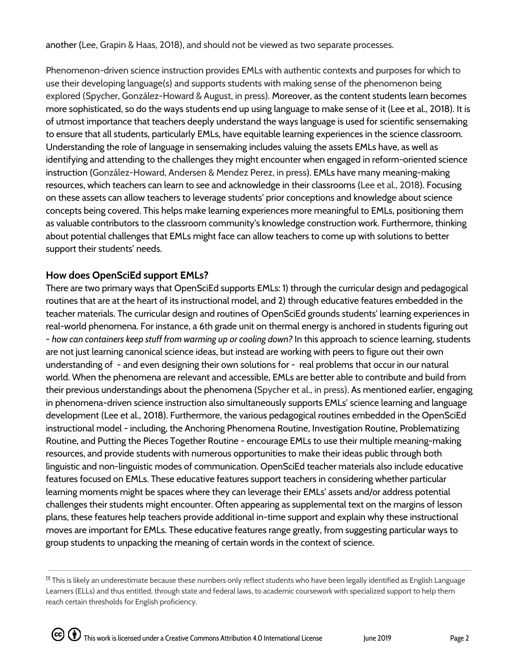another (Lee, Grapin & Haas, 2018), and should not be viewed as two separate processes.

Phenomenon-driven science instruction provides EMLs with authentic contexts and purposes for which to use their developing language(s) and supports students with making sense of the phenomenon being explored (Spycher, González-Howard & August, in press). Moreover, as the content students learn becomes more sophisticated, so do the ways students end up using language to make sense of it (Lee et al., 2018). It is of utmost importance that teachers deeply understand the ways language is used for scientific sensemaking to ensure that all students, particularly EMLs, have equitable learning experiences in the science classroom. Understanding the role of language in sensemaking includes valuing the assets EMLs have, as well as identifying and attending to the challenges they might encounter when engaged in reform-oriented science instruction (González-Howard, Andersen & Mendez Perez, in press). EMLs have many meaning-making resources, which teachers can learn to see and acknowledge in their classrooms (Lee et al., 2018). Focusing on these assets can allow teachers to leverage students' prior conceptions and knowledge about science concepts being covered. This helps make learning experiences more meaningful to EMLs, positioning them as valuable contributors to the classroom community's knowledge construction work. Furthermore, thinking about potential challenges that EMLs might face can allow teachers to come up with solutions to better support their students' needs.

#### **How does OpenSciEd support EMLs?**

There are two primary ways that OpenSciEd supports EMLs: 1) through the curricular design and pedagogical routines that are at the heart of its instructional model, and 2) through educative features embedded in the teacher materials. The curricular design and routines of OpenSciEd grounds students' learning experiences in real-world phenomena. For instance, a 6th grade unit on thermal energy is anchored in students figuring out - *how can containers keep stuff from warming up or cooling down?* In this approach to science learning, students are not just learning canonical science ideas, but instead are working with peers to figure out their own understanding of - and even designing their own solutions for - real problems that occur in our natural world. When the phenomena are relevant and accessible, EMLs are better able to contribute and build from their previous understandings about the phenomena (Spycher et al., in press). As mentioned earlier, engaging in phenomena-driven science instruction also simultaneously supports EMLs' science learning and language development (Lee et al., 2018). Furthermore, the various pedagogical routines embedded in the OpenSciEd instructional model - including, the Anchoring Phenomena Routine, Investigation Routine, Problematizing Routine, and Putting the Pieces Together Routine - encourage EMLs to use their multiple meaning-making resources, and provide students with numerous opportunities to make their ideas public through both linguistic and non-linguistic modes of communication. OpenSciEd teacher materials also include educative features focused on EMLs. These educative features support teachers in considering whether particular learning moments might be spaces where they can leverage their EMLs' assets and/or address potential challenges their students might encounter. Often appearing as supplemental text on the margins of lesson plans, these features help teachers provide additional in-time support and explain why these instructional moves are important for EMLs. These educative features range greatly, from suggesting particular ways to group students to unpacking the meaning of certain words in the context of science.

 $^{[1]}$  This is likely an underestimate because these numbers only reflect students who have been legally identified as English Language Learners (ELLs) and thus entitled, through state and federal laws, to academic coursework with specialized support to help them reach certain thresholds for English proficiency.